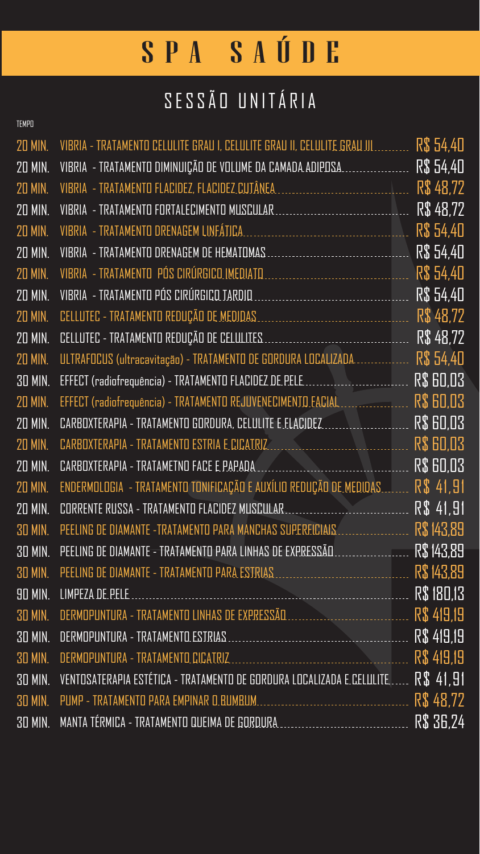| 20 MIN. VIBRIA - TRATAMENTO CELULITE GRAU I, CELULITE GRAU II, CELULITE GRAU III R\$ 54,40 |           |
|--------------------------------------------------------------------------------------------|-----------|
| 20 MIN. VIBRIA - TRATAMENTO DIMINUIÇÃO DE VOLUME DA CAMADA ADIPOSA R\$ 54,40               |           |
|                                                                                            |           |
| 20 MIN. VIBRIA - TRATAMENTO FORTALECIMENTO MUSCULAR                                        |           |
|                                                                                            | R\$ 54.40 |
|                                                                                            |           |
| 20 MIN. VIBRIA - TRATAMENTO PÓS CIRÚRGICO IMEDIATO                                         | R\$ 54.40 |
|                                                                                            | R\$ 54.40 |
| 20 MIN. CELLUTEC - TRATAMENTO REDUÇÃO DE MEDIDAS                                           | R\$48.72  |
| 20 MIN. CELLUTEC - TRATAMENTO REDUÇÃO DE CELULITES                                         |           |
| 20 MIN. ULTRAFOCUS (ultracavitação) - TRATAMENTO DE GORDURA LOCALIZADA R\$ 54,40           |           |
|                                                                                            |           |
| 20 MIN FEFERT (radiofrequência) - TRATAMENTO REJOVENERIMENTO EARIAL                        |           |

|                | 20 MIN. EFFECT (radiofrequência) - TRATAMENTO REJUVENECIMENTO FACIAL                     | <b>R\$ 60,03</b> |
|----------------|------------------------------------------------------------------------------------------|------------------|
| <b>20 MIN.</b> | CARBOXTERAPIA - TRATAMENTO GORDURA, CELULITE E FLACIDEZ                                  | <b>R\$ 60,03</b> |
| <b>20 MIN.</b> | CARBOXTERAPIA - TRATAMENTO ESTRIA E CICATRIZ                                             | <b>R\$ 60,03</b> |
| <b>20 MIN.</b> |                                                                                          | <b>R\$ 60,03</b> |
|                | 20 MIN. ENDERMOLOGIA - TRATAMENTO TONIFICAÇÃO E AUXÍLIO REDUÇÃO DE MEDIDAS               | R\$ 41.91        |
| <b>20 MIN.</b> | CORRENTE RUSSA - TRATAMENTO FLACIDEZ MUSCULAR                                            | R\$ 41,91        |
| <b>30 MIN.</b> | PEELING DE DIAMANTE -TRATAMENTO PARA MANCHAS SUPERFICIAIS                                | R\$ 143,89       |
| <b>30 MIN.</b> | PEELING DE DIAMANTE - TRATAMENTO PARA LINHAS DE EXPRESSÃO  R\$ 143,89                    |                  |
|                |                                                                                          |                  |
|                | 90 MIN. LIMPEZA DE PELE                                                                  |                  |
|                |                                                                                          |                  |
|                |                                                                                          |                  |
|                |                                                                                          |                  |
|                | 30 MIN. VENTOSATERAPIA ESTÉTICA - TRATAMENTO DE GORDURA LOCALIZADA E CELULITE  R\$ 41,91 |                  |
|                |                                                                                          |                  |
|                |                                                                                          |                  |

### SESSÃO UNITÁRIA

TEMPO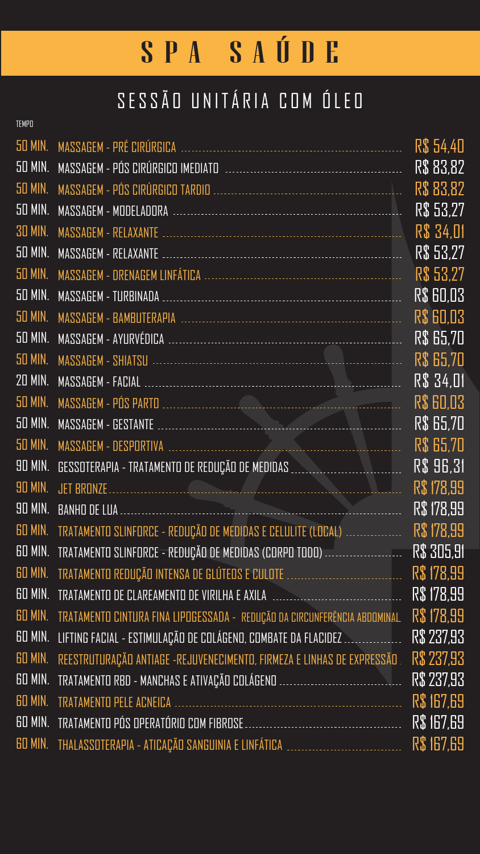|  | 50 MIN. MASSAGEM - PÓS PARTO                                                                    | <b>R\$ 60,03</b> |
|--|-------------------------------------------------------------------------------------------------|------------------|
|  |                                                                                                 | <b>R\$ 65,70</b> |
|  |                                                                                                 | <b>R\$ 65,70</b> |
|  | 90 MIN. GESSOTERAPIA - TRATAMENTO DE REDUÇÃO DE MEDIDAS                                         | R\$ 96,31        |
|  | SO MIN. JET BRONZE                                                                              | R\$ 178,99       |
|  |                                                                                                 | R\$ 178,99       |
|  | BO MIN. TRATAMENTO SLINFORCE - REDUÇÃO DE MEDIDAS E CELULITE (LOCAL)                            | R\$ 178,99       |
|  | 60 MIN. TRATAMENTO SLINFORCE - REDUÇÃO DE MEDIDAS (CORPO TODO) ------------------- R\$ 305,91   |                  |
|  |                                                                                                 |                  |
|  |                                                                                                 |                  |
|  | 60 MIN. TRATAMENTO CINTURA FINA LIPOGESSADA - REDUÇÃO DA CIRCUNFERÊNCIA ABDOMINAL R\$ 178,99    |                  |
|  | 60 MIN. LIFTING FACIAL - ESTIMULAÇÃO DE COLÁGENO, COMBATE DA FLACIDEZ  R\$ 237,93               |                  |
|  | 60 MIN. REESTRUTURAÇÃO ANTIAGE -REJUVENECIMENTO, FIRMEZA E LINHAS DE EXPRESSÃO R\$ 237,93       |                  |
|  | 60 MIN. TRATAMENTO RBD - MANCHAS E ATIVAÇÃO COLÁGENO ------------------------------- R\$ 237,93 |                  |
|  |                                                                                                 |                  |
|  |                                                                                                 | R\$ 167,69       |
|  |                                                                                                 |                  |

|                              | R\$ 53,27        |
|------------------------------|------------------|
|                              | R\$ 34,01        |
|                              | R\$ 53.27        |
|                              | R\$ 53,27        |
|                              | <b>R\$ 60.03</b> |
|                              | <b>R\$ 60,03</b> |
|                              | <b>R\$ 65,70</b> |
|                              | R\$ 65,70        |
|                              | R\$ 34,01        |
| 50 MIN. MASSAGEM - PÓS PARTO | <b>R\$ 60,03</b> |
|                              |                  |

### SESSÃO UNITÁRIA COM ÓLEO

**TEMPO**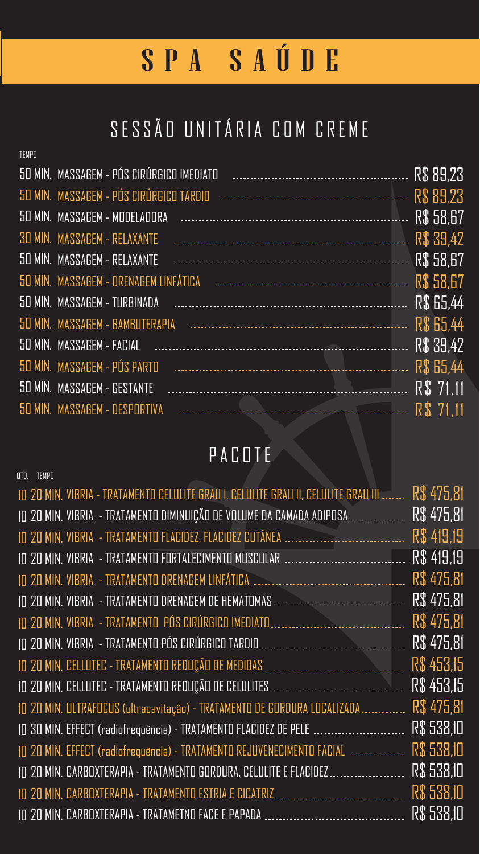#### SESSÃO UNITÁRIA COM CREME

#### PACOTE

| 50 MIN. MASSAGEM - PÓS CIRÚRGICO TARDIO                                                                       |  |
|---------------------------------------------------------------------------------------------------------------|--|
|                                                                                                               |  |
| 30 MIN. MASSAGEM - RELAXANTE CONTROLLER CONTROLLER SELLER SERVICE RS 39,42                                    |  |
| 50 MIN. MASSAGEM - RELAXANTE CONTROLLER CONTROLLER TELEVISION RS 58.67                                        |  |
| 50 MIN. MASSAGEM - DRENAGEM LINFÁTICA A A CONSERVADE E CONSERVADO ROS 58,67                                   |  |
|                                                                                                               |  |
|                                                                                                               |  |
|                                                                                                               |  |
| 50 MIN. MASSAGEM - PÓS PARTO                                                                                  |  |
| 50 MIN. MASSAGEM - GESTANTE CONTROLLER CONTROLLER TO THE TIME TO THE CONTROLLER STATE OF THE TIME TO THE TIME |  |

| QTD. TEMPO                                                                                              |            |
|---------------------------------------------------------------------------------------------------------|------------|
| <u>IO 20 MIN. VIBRIA - TRATAMENTO CELULITE GRAU I, CELULITE GRAU II, CELULITE GRAU III  R\$ 475,81 </u> |            |
| <u> 10 20 MIN. VIBRIA - TRATAMENTO DIMINUIÇÃO DE VOLUME DA CAMADA ADIPOSA  R\$ 475,81</u>               |            |
|                                                                                                         |            |
| <u> 10 20 MIN. VIBRIA - TRATAMENTO FORTALECIMENTO MUSCULAR ----------------------------- R\$ 419,19</u> |            |
| 10 ZO MÍN. VIBRIA - TRATAMENTO DRENAGEM LINFÁTICA [10] A CONSERVATO DE R\$ 475,81                       |            |
|                                                                                                         |            |
| 10 20 MIN. VIBRIA - TRATAMENTO PÓS CIRÚRGICO IMEDIATO                                                   |            |
|                                                                                                         |            |
|                                                                                                         |            |
|                                                                                                         |            |
| 10 20 MIN. ULTRAFOCUS (ultracavitação) - TRATAMENTO DE GORDURA LOCALIZADA R\$ 475,81                    |            |
|                                                                                                         |            |
| 10 20 MIN. EFFECT (radiofrequência) - TRATAMENTO REJUVENECIMENTO FACIAL [11] [11] R\$ 538,10            |            |
| 10 20 MIN. CARBOXTERAPIA - TRATAMENTO GORDURA, CELULITE E FLACIDEZ R\$ 538,10                           |            |
| 10 ZO MIN. CARBOXTERAPIA - TRATAMENTO ESTRIA E CICATRIZ                                                 | R\$ 538,10 |



#### TEMPO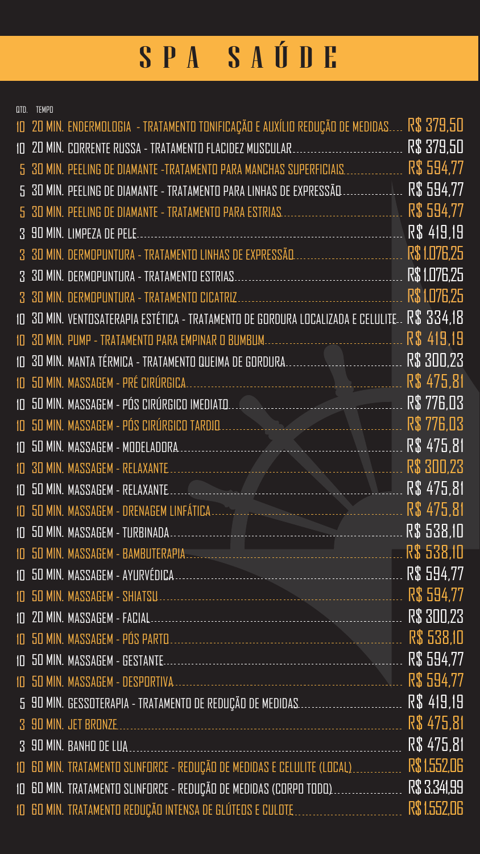| $\overline{\phantom{0}\mathsf{QTD}\phantom{0}}$ tempo $\overline{\phantom{0}\mathsf{QTD}\phantom{0}}$ |                                                                                                                                                                                |            |
|-------------------------------------------------------------------------------------------------------|--------------------------------------------------------------------------------------------------------------------------------------------------------------------------------|------------|
|                                                                                                       | <u> 10  20 MIN. ENDERMOLOGIA - TRATAMENTO TONIFICAÇÃO E AUXÍLIO REDUÇÃO DE MEDIDAS R\$ 379,50 </u>                                                                             |            |
|                                                                                                       |                                                                                                                                                                                |            |
|                                                                                                       | 5 30 MIN. PEELING DE DIAMANTE -TRATAMENTO PARA MANCHAS SUPERFICIAIS [19] 2001 NS 594,77                                                                                        |            |
|                                                                                                       | 5 30 MIN. PEELING DE DIAMANTE - TRATAMENTO PARA LINHAS DE EXPRESSÃO  R\$ 594,77                                                                                                |            |
|                                                                                                       |                                                                                                                                                                                |            |
|                                                                                                       |                                                                                                                                                                                | RS 419.19  |
|                                                                                                       |                                                                                                                                                                                |            |
|                                                                                                       |                                                                                                                                                                                |            |
|                                                                                                       |                                                                                                                                                                                |            |
|                                                                                                       | 10 30 MIN. VENTOSATERAPIA ESTÉTICA - TRATAMENTO DE GORDURA LOCALIZADA E CELULITE R\$ 334,18                                                                                    |            |
|                                                                                                       |                                                                                                                                                                                |            |
|                                                                                                       |                                                                                                                                                                                |            |
|                                                                                                       |                                                                                                                                                                                |            |
|                                                                                                       | 10 50 MIN. MASSAGEM - PÓS CIRÚRGICO IMEDIATO                                                                                                                                   |            |
|                                                                                                       |                                                                                                                                                                                |            |
|                                                                                                       |                                                                                                                                                                                |            |
|                                                                                                       | 10 30 MIN. MASSAGEM - RELAXANTE                                                                                                                                                | R\$ 300,23 |
|                                                                                                       |                                                                                                                                                                                |            |
|                                                                                                       |                                                                                                                                                                                |            |
|                                                                                                       |                                                                                                                                                                                |            |
|                                                                                                       |                                                                                                                                                                                |            |
|                                                                                                       |                                                                                                                                                                                |            |
|                                                                                                       |                                                                                                                                                                                |            |
|                                                                                                       |                                                                                                                                                                                |            |
|                                                                                                       |                                                                                                                                                                                |            |
|                                                                                                       |                                                                                                                                                                                |            |
|                                                                                                       |                                                                                                                                                                                |            |
|                                                                                                       |                                                                                                                                                                                |            |
|                                                                                                       |                                                                                                                                                                                |            |
|                                                                                                       | 3 90 MIN. BANHO DE LUA                                                                                                                                                         | R\$ 475,81 |
|                                                                                                       | <u>IO 60 MIN. TRATAMENTO SLINFORCE - REDUÇÃO DE MEDIDAS E CELULITE (LOCAL) [10] EO MIN. TRATAMENTO SLINFORCE - REDUÇÃO DE MEDIDAS E CELULITE (LOCAL) [10] [10] RS 1.552,06</u> |            |
|                                                                                                       | <u>IO 60 MIN. TRATAMENTO SLINFORCE - REDUÇÃO DE MEDIDAS (CORPO TODO) R\$ 3.341,99 </u>                                                                                         |            |